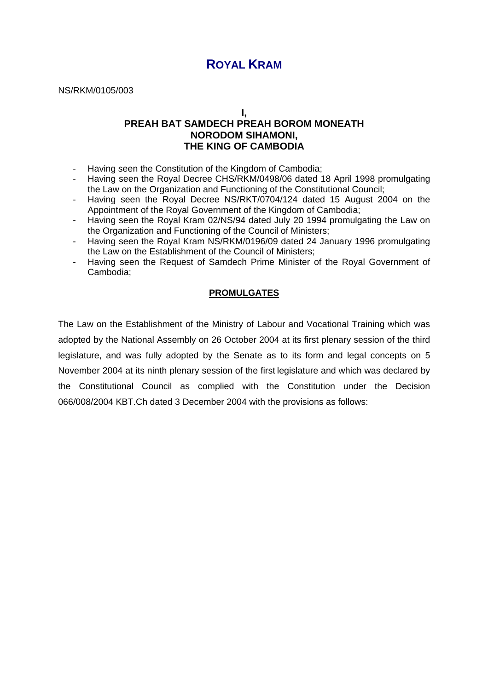# **ROYAL KRAM**

NS/RKM/0105/003

**I,** 

## **PREAH BAT SAMDECH PREAH BOROM MONEATH NORODOM SIHAMONI, THE KING OF CAMBODIA**

- Having seen the Constitution of the Kingdom of Cambodia;
- Having seen the Royal Decree CHS/RKM/0498/06 dated 18 April 1998 promulgating the Law on the Organization and Functioning of the Constitutional Council;
- Having seen the Royal Decree NS/RKT/0704/124 dated 15 August 2004 on the Appointment of the Royal Government of the Kingdom of Cambodia;
- Having seen the Royal Kram 02/NS/94 dated July 20 1994 promulgating the Law on the Organization and Functioning of the Council of Ministers;
- Having seen the Royal Kram NS/RKM/0196/09 dated 24 January 1996 promulgating the Law on the Establishment of the Council of Ministers;
- Having seen the Request of Samdech Prime Minister of the Royal Government of Cambodia;

### **PROMULGATES**

The Law on the Establishment of the Ministry of Labour and Vocational Training which was adopted by the National Assembly on 26 October 2004 at its first plenary session of the third legislature, and was fully adopted by the Senate as to its form and legal concepts on 5 November 2004 at its ninth plenary session of the first legislature and which was declared by the Constitutional Council as complied with the Constitution under the Decision 066/008/2004 KBT.Ch dated 3 December 2004 with the provisions as follows: